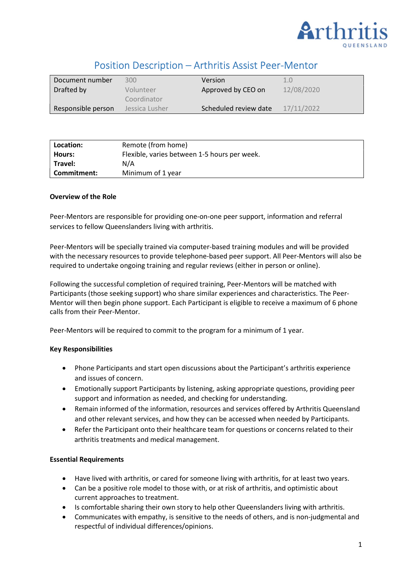

# Position Description – Arthritis Assist Peer-Mentor

| Document number    | 300            | Version               | 1.0        |
|--------------------|----------------|-----------------------|------------|
| Drafted by         | Volunteer      | Approved by CEO on    | 12/08/2020 |
|                    | Coordinator    |                       |            |
| Responsible person | Jessica Lusher | Scheduled review date | 17/11/2022 |

| Location:      | Remote (from home)                           |
|----------------|----------------------------------------------|
| Hours:         | Flexible, varies between 1-5 hours per week. |
| <b>Travel:</b> | N/A                                          |
| l Commitment:  | Minimum of 1 year                            |

### Overview of the Role

Peer-Mentors are responsible for providing one-on-one peer support, information and referral services to fellow Queenslanders living with arthritis.

Peer-Mentors will be specially trained via computer-based training modules and will be provided with the necessary resources to provide telephone-based peer support. All Peer-Mentors will also be required to undertake ongoing training and regular reviews (either in person or online).

Following the successful completion of required training, Peer-Mentors will be matched with Participants (those seeking support) who share similar experiences and characteristics. The Peer-Mentor will then begin phone support. Each Participant is eligible to receive a maximum of 6 phone calls from their Peer-Mentor.

Peer-Mentors will be required to commit to the program for a minimum of 1 year.

## Key Responsibilities

- Phone Participants and start open discussions about the Participant's arthritis experience and issues of concern.
- Emotionally support Participants by listening, asking appropriate questions, providing peer support and information as needed, and checking for understanding.
- Remain informed of the information, resources and services offered by Arthritis Queensland and other relevant services, and how they can be accessed when needed by Participants.
- Refer the Participant onto their healthcare team for questions or concerns related to their arthritis treatments and medical management.

#### Essential Requirements

- Have lived with arthritis, or cared for someone living with arthritis, for at least two years.
- Can be a positive role model to those with, or at risk of arthritis, and optimistic about current approaches to treatment.
- Is comfortable sharing their own story to help other Queenslanders living with arthritis.
- Communicates with empathy, is sensitive to the needs of others, and is non-judgmental and respectful of individual differences/opinions.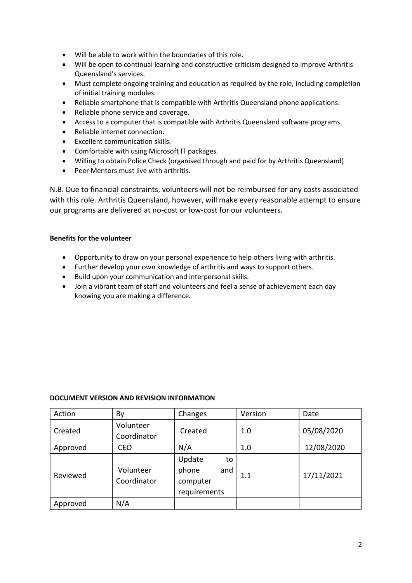- Will be able to work within the boundaries of this role.
- Will be open to continual learning and constructive criticism designed to improve Arthritis Queensland's services.
- Must complete ongoing training and education as required by the role, including completion of initial training modules.
- Reliable smartphone that is compatible with Arthritis Queensland phone applications.
- Reliable phone service and coverage.
- Access to a computer that is compatible with Arthritis Queensland software programs.
- Reliable internet connection.
- Excellent communication skills.
- Comfortable with using Microsoft IT packages.
- Willing to obtain Police Check (organised through and paid for by Arthritis Queensland)
- Peer Mentors must live with arthritis.

N.B. Due to financial constraints, volunteers will not be reimbursed for any costs associated with this role. Arthritis Queensland, however, will make every reasonable attempt to ensure our programs are delivered at no-cost or low-cost for our volunteers.

## Benefits for the volunteer

- Opportunity to draw on your personal experience to help others living with arthritis.
- Further develop your own knowledge of arthritis and ways to support others.
- Build upon your communication and interpersonal skills.
- Join a vibrant team of staff and volunteers and feel a sense of achievement each day knowing you are making a difference.

## DOCUMENT VERSION AND REVISION INFORMATION

| Action   | By                       | Changes      | Version | Date       |
|----------|--------------------------|--------------|---------|------------|
| Created  | Volunteer<br>Coordinator | Created      | 1.0     | 05/08/2020 |
| Approved | <b>CEO</b>               | N/A          | 1.0     | 12/08/2020 |
|          |                          |              |         |            |
| Reviewed |                          | Update<br>to |         | 17/11/2021 |
|          | Volunteer                | phone<br>and |         |            |
|          | Coordinator              | computer     | 1.1     |            |
|          |                          | requirements |         |            |
| Approved | N/A                      |              |         |            |